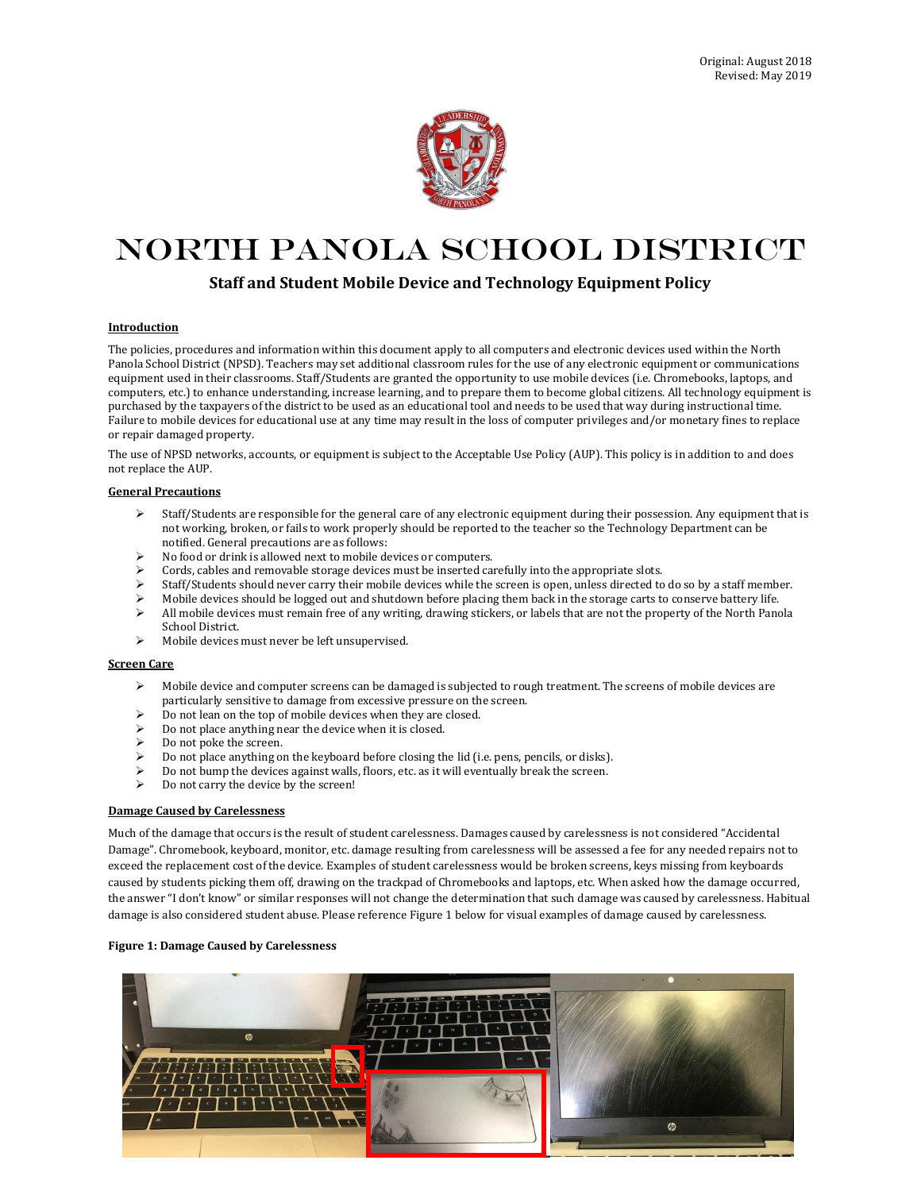

# North Panola School District

# **Staff and Student Mobile Device and Technology Equipment Policy**

#### **Introduction**

The policies, procedures and information within this document apply to all computers and electronic devices used within the North Panola School District (NPSD). Teachers may set additional classroom rules for the use of any electronic equipment or communications equipment used in their classrooms. Staff/Students are granted the opportunity to use mobile devices (i.e. Chromebooks, laptops, and computers, etc.) to enhance understanding, increase learning, and to prepare them to become global citizens. All technology equipment is purchased by the taxpayers of the district to be used as an educational tool and needs to be used that way during instructional time. Failure to mobile devices for educational use at any time may result in the loss of computer privileges and/or monetary fines to replace or repair damaged property.

The use of NPSD networks, accounts, or equipment is subject to the Acceptable Use Policy (AUP). This policy is in addition to and does not replace the AUP.

#### **General Precautions**

- $\triangleright$  Staff/Students are responsible for the general care of any electronic equipment during their possession. Any equipment that is not working, broken, or fails to work properly should be reported to the teacher so the Technology Department can be notified. General precautions are as follows:
- $\triangleright$  No food or drink is allowed next to mobile devices or computers.
- Cords, cables and removable storage devices must be inserted carefully into the appropriate slots.
- $\triangleright$  Staff/Students should never carry their mobile devices while the screen is open, unless directed to do so by a staff member.
- Mobile devices should be logged out and shutdown before placing them back in the storage carts to conserve battery life.
- All mobile devices must remain free of any writing, drawing stickers, or labels that are not the property of the North Panola School District.
- Mobile devices must never be left unsupervised.

#### **Screen Care**

- $\triangleright$  Mobile device and computer screens can be damaged is subjected to rough treatment. The screens of mobile devices are particularly sensitive to damage from excessive pressure on the screen.
- $\triangleright$  Do not lean on the top of mobile devices when they are closed.
- Do not place anything near the device when it is closed.
- Do not poke the screen.
- Do not place anything on the keyboard before closing the lid (i.e. pens, pencils, or disks).
- Do not bump the devices against walls, floors, etc. as it will eventually break the screen.
- Do not carry the device by the screen!

#### **Damage Caused by Carelessness**

Much of the damage that occurs is the result of student carelessness. Damages caused by carelessness is not considered "Accidental Damage". Chromebook, keyboard, monitor, etc. damage resulting from carelessness will be assessed a fee for any needed repairs not to exceed the replacement cost of the device. Examples of student carelessness would be broken screens, keys missing from keyboards caused by students picking them off, drawing on the trackpad of Chromebooks and laptops, etc. When asked how the damage occurred, the answer "I don't know" or similar responses will not change the determination that such damage was caused by carelessness. Habitual damage is also considered student abuse. Please reference Figure 1 below for visual examples of damage caused by carelessness.

### **Figure 1: Damage Caused by Carelessness**